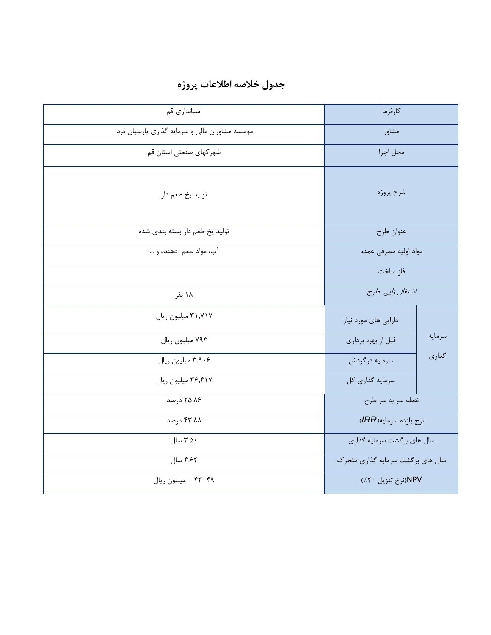| استانداری قم                                   | كارفرما                          |        |
|------------------------------------------------|----------------------------------|--------|
| موسسه مشاوران مالي و سرمايه گذاري پارسيان فردا | مشاور                            |        |
| شهركهاي صنعتي استان قم                         | محل اجرا                         |        |
| توليد يخ طعم دار                               | شرح پروژه                        |        |
| تولید یخ طعم دار بسته بندی شده                 | عنوان طرح                        |        |
| آب، مواد طعم دهنده و                           | مواد اوليه مصرفى عمده            |        |
|                                                | فاز ساخت                         |        |
| ۱۸ نفر                                         | اشتغال زایی طرح                  |        |
| ۳۱٬۷۱۷ میلیون ریال                             | دارایی های مورد نیاز             |        |
| ۷۹۳ میلیون ریال                                | قبل از بهره برداري               | سرمايه |
| ۳٫۹۰۶ میلیون ریال                              | سرمايه درگردش                    | گذاری  |
| ۳۶٬۴۱۷ میلیون ریال                             | سرمايه گذاري كل                  |        |
| ۲۵.۸۶ درصد                                     | نقطه سربه سرطرح                  |        |
| ۴۳.۸۸ درصد                                     | نرخ بازده سرمايه(IRR)            |        |
| ۳.۵۰ سال                                       | سال های برگشت سرمایه گذاری       |        |
| ۴.۶۲ سال                                       | سال های برگشت سرمایه گذاری متحرک |        |
| ۴۳۰۴۹ میلیون ریال                              | NPV(نرخ تنزيل ۲۰/)               |        |

## **جدول خالصه اطالعات پروژه**